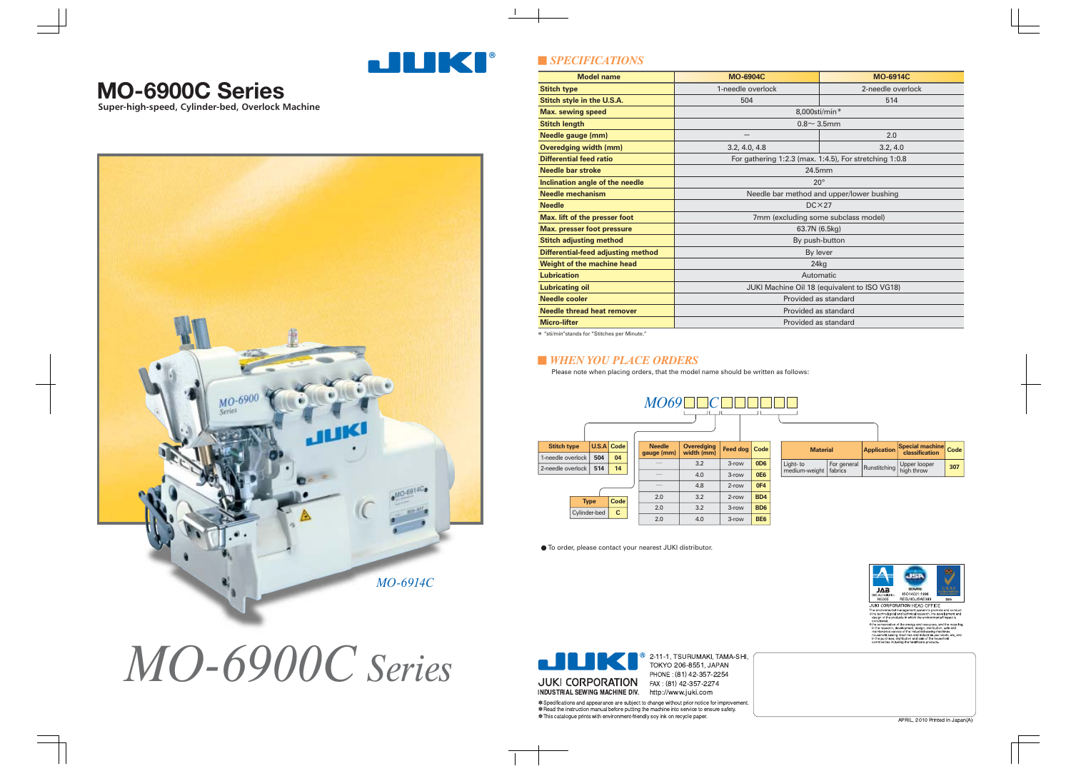

| <b>Model name</b>                         | <b>MO-6904C</b>                                        | <b>MO-6914C</b>   |  |  |  |  |
|-------------------------------------------|--------------------------------------------------------|-------------------|--|--|--|--|
| <b>Stitch type</b>                        | 1-needle overlock                                      | 2-needle overlock |  |  |  |  |
| Stitch style in the U.S.A.                | 504                                                    | 514               |  |  |  |  |
| <b>Max. sewing speed</b>                  | 8,000sti/min*                                          |                   |  |  |  |  |
| <b>Stitch length</b>                      | $0.8 \sim 3.5$ mm                                      |                   |  |  |  |  |
| Needle gauge (mm)                         | 2.0                                                    |                   |  |  |  |  |
| <b>Overedging width (mm)</b>              | 3.2, 4.0, 4.8                                          | 3.2, 4.0          |  |  |  |  |
| <b>Differential feed ratio</b>            | For gathering 1:2.3 (max. 1:4.5), For stretching 1:0.8 |                   |  |  |  |  |
| <b>Needle bar stroke</b>                  | 24.5mm                                                 |                   |  |  |  |  |
| Inclination angle of the needle           | $20^{\circ}$                                           |                   |  |  |  |  |
| <b>Needle mechanism</b>                   | Needle bar method and upper/lower bushing              |                   |  |  |  |  |
| <b>Needle</b>                             | $DC \times 27$                                         |                   |  |  |  |  |
| Max. lift of the presser foot             | 7mm (excluding some subclass model)                    |                   |  |  |  |  |
| <b>Max. presser foot pressure</b>         | 63.7N (6.5kg)                                          |                   |  |  |  |  |
| <b>Stitch adjusting method</b>            | By push-button                                         |                   |  |  |  |  |
| <b>Differential-feed adjusting method</b> | By lever                                               |                   |  |  |  |  |
| Weight of the machine head                | 24kg                                                   |                   |  |  |  |  |
| <b>Lubrication</b>                        | Automatic                                              |                   |  |  |  |  |
| <b>Lubricating oil</b>                    | JUKI Machine Oil 18 (equivalent to ISO VG18)           |                   |  |  |  |  |
| <b>Needle cooler</b>                      | Provided as standard                                   |                   |  |  |  |  |
| <b>Needle thread heat remover</b>         | Provided as standard                                   |                   |  |  |  |  |
| <b>Micro-lifter</b>                       | Provided as standard                                   |                   |  |  |  |  |

## ■ *SPECIFICATIONS*

#### ■ *WHEN YOU PLACE ORDERS*

|                    |              |              | MO69                        |                                                                  |       |                 |                            |                             |              |                            |     |
|--------------------|--------------|--------------|-----------------------------|------------------------------------------------------------------|-------|-----------------|----------------------------|-----------------------------|--------------|----------------------------|-----|
| <b>Stitch type</b> | U.S.A Code   |              | <b>Needle</b><br>gauge (mm) | Overedging<br>width (mm)<br>Feed dog   Code  <br><b>Material</b> |       |                 |                            | Application Special machine | Code         |                            |     |
| 1-needle overlock  | 504          | 04           |                             |                                                                  |       |                 |                            |                             |              |                            |     |
| 2-needle overlock  | 514          | 14           |                             | 3.2                                                              | 3-row | 0 <sub>D6</sub> | Light- to<br>medium-weight | For general<br>fabrics      | Runstitching | Upper looper<br>high throw | 307 |
|                    |              |              |                             | 4.0                                                              | 3-row | <b>0E6</b>      |                            |                             |              |                            |     |
|                    |              |              |                             | 4.8                                                              | 2-row | 0F4             |                            |                             |              |                            |     |
|                    | <b>Type</b>  | Code         | 2.0                         | 3.2                                                              | 2-row | BD4             |                            |                             |              |                            |     |
|                    | Cylinder-bed | $\mathbf{C}$ | 2.0                         | 3.2                                                              | 3-row | BD <sub>6</sub> |                            |                             |              |                            |     |
|                    |              |              | 2.0                         | 4.0                                                              | 3-row | <b>BE6</b>      |                            |                             |              |                            |     |

Please note when placing orders, that the model name should be written as follows:

● To order, please contact your nearest JUKI distributor.

# *MO-6900C Series*

**Super-high-speed, Cylinder-bed, Overlock Machine**



## **MO-6900C Series**



 $\bullet$  2-11-1, TSURUMAKI, TAMA-SHI, TOKYO 206-8551, JAPAN PHONE: (81) 42-357-2254

∗ Specifications and appearance are subject to change without prior notice for improvement<br>∗ Read the instruction manual before putting the machine into service to ensure safety. \* This catalogue prints with environment-friendly soy ink on recycle paper



\* "sti/min"stands for "Stitches per Minute."